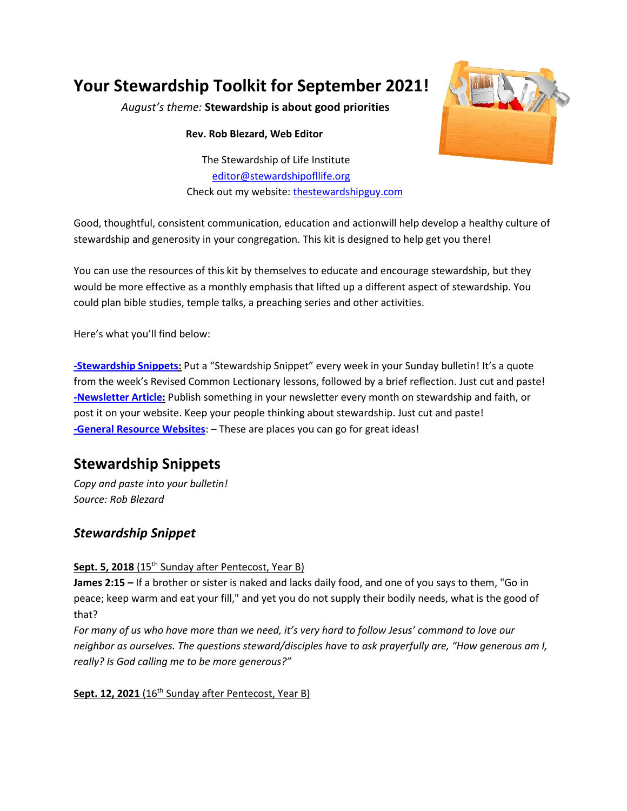# **Your Stewardship Toolkit for September 2021!**

*August's theme:* **Stewardship is about good priorities**

#### **Rev. Rob Blezard, Web Editor**

The Stewardship of Life Institute editor@stewardshipofllife.org Check out my website: thestewardshipguy.com



Good, thoughtful, consistent communication, education and actionwill help develop a healthy culture of stewardship and generosity in your congregation. This kit is designed to help get you there!

You can use the resources of this kit by themselves to educate and encourage stewardship, but they would be more effective as a monthly emphasis that lifted up a different aspect of stewardship. You could plan bible studies, temple talks, a preaching series and other activities.

Here's what you'll find below:

**-Stewardship Snippets:** Put a "Stewardship Snippet" every week in your Sunday bulletin! It's a quote from the week's Revised Common Lectionary lessons, followed by a brief reflection. Just cut and paste! **-Newsletter Article:** Publish something in your newsletter every month on stewardship and faith, or post it on your website. Keep your people thinking about stewardship. Just cut and paste! **-General Resource Websites**: – These are places you can go for great ideas!

## **Stewardship Snippets**

*Copy and paste into your bulletin! Source: Rob Blezard*

### *Stewardship Snippet*

#### Sept. 5, 2018 (15<sup>th</sup> Sunday after Pentecost, Year B)

**James 2:15 –** If a brother or sister is naked and lacks daily food, and one of you says to them, "Go in peace; keep warm and eat your fill," and yet you do not supply their bodily needs, what is the good of that?

*For many of us who have more than we need, it's very hard to follow Jesus' command to love our neighbor as ourselves. The questions steward/disciples have to ask prayerfully are, "How generous am I, really? Is God calling me to be more generous?"*

#### Sept. 12, 2021 (16<sup>th</sup> Sunday after Pentecost, Year B)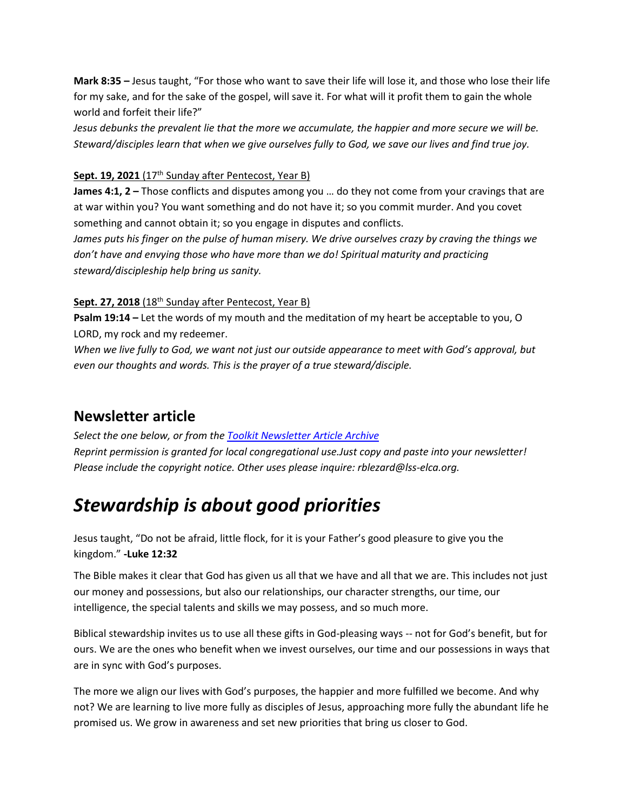**Mark 8:35 –** Jesus taught, "For those who want to save their life will lose it, and those who lose their life for my sake, and for the sake of the gospel, will save it. For what will it profit them to gain the whole world and forfeit their life?"

*Jesus debunks the prevalent lie that the more we accumulate, the happier and more secure we will be. Steward/disciples learn that when we give ourselves fully to God, we save our lives and find true joy.*

#### Sept. 19, 2021 (17<sup>th</sup> Sunday after Pentecost, Year B)

**James 4:1, 2 –** Those conflicts and disputes among you … do they not come from your cravings that are at war within you? You want something and do not have it; so you commit murder. And you covet something and cannot obtain it; so you engage in disputes and conflicts.

*James puts his finger on the pulse of human misery. We drive ourselves crazy by craving the things we don't have and envying those who have more than we do! Spiritual maturity and practicing steward/discipleship help bring us sanity.* 

#### Sept. 27, 2018 (18<sup>th</sup> Sunday after Pentecost, Year B)

**Psalm 19:14 –** Let the words of my mouth and the meditation of my heart be acceptable to you, O LORD, my rock and my redeemer.

*When we live fully to God, we want not just our outside appearance to meet with God's approval, but even our thoughts and words. This is the prayer of a true steward/disciple.*

### **Newsletter article**

*Select the one below, or from the [Toolkit Newsletter Article Archive](https://www.lss-elca.org/toolkit-newsletter-archive/) Reprint permission is granted for local congregational use.Just copy and paste into your newsletter! Please include the copyright notice. Other uses please inquire: rblezard@lss-elca.org.*

# *Stewardship is about good priorities*

Jesus taught, "Do not be afraid, little flock, for it is your Father's good pleasure to give you the kingdom." **-Luke 12:32**

The Bible makes it clear that God has given us all that we have and all that we are. This includes not just our money and possessions, but also our relationships, our character strengths, our time, our intelligence, the special talents and skills we may possess, and so much more.

Biblical stewardship invites us to use all these gifts in God-pleasing ways -- not for God's benefit, but for ours. We are the ones who benefit when we invest ourselves, our time and our possessions in ways that are in sync with God's purposes.

The more we align our lives with God's purposes, the happier and more fulfilled we become. And why not? We are learning to live more fully as disciples of Jesus, approaching more fully the abundant life he promised us. We grow in awareness and set new priorities that bring us closer to God.